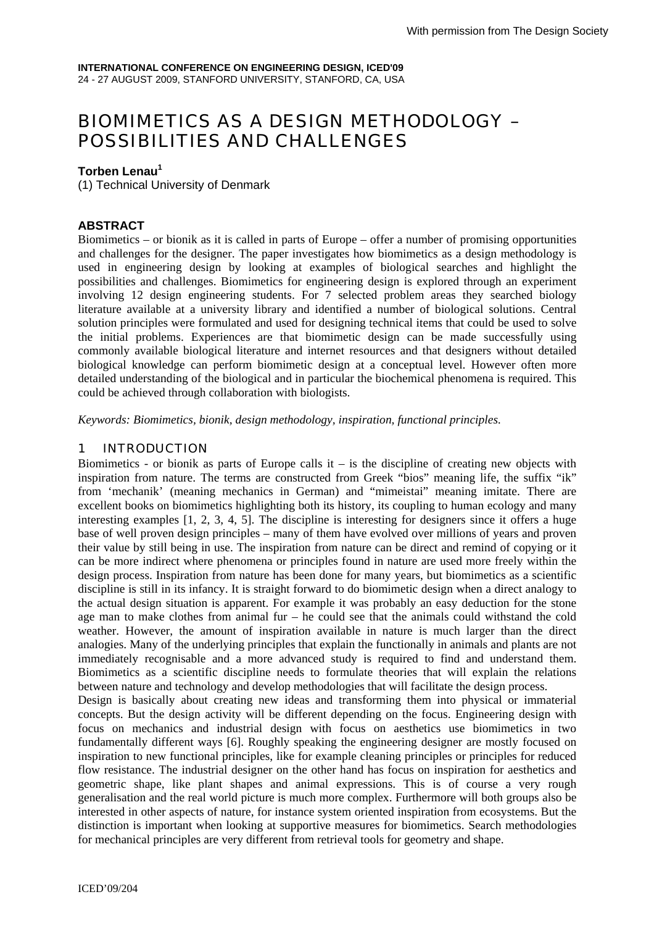# BIOMIMETICS AS A DESIGN METHODOLOGY – POSSIBILITIES AND CHALLENGES

## **Torben Lenau<sup>1</sup>**

(1) Technical University of Denmark

## **ABSTRACT**

Biomimetics – or bionik as it is called in parts of Europe – offer a number of promising opportunities and challenges for the designer. The paper investigates how biomimetics as a design methodology is used in engineering design by looking at examples of biological searches and highlight the possibilities and challenges. Biomimetics for engineering design is explored through an experiment involving 12 design engineering students. For 7 selected problem areas they searched biology literature available at a university library and identified a number of biological solutions. Central solution principles were formulated and used for designing technical items that could be used to solve the initial problems. Experiences are that biomimetic design can be made successfully using commonly available biological literature and internet resources and that designers without detailed biological knowledge can perform biomimetic design at a conceptual level. However often more detailed understanding of the biological and in particular the biochemical phenomena is required. This could be achieved through collaboration with biologists.

*Keywords: Biomimetics, bionik, design methodology, inspiration, functional principles.* 

## 1 INTRODUCTION

Biomimetics - or bionik as parts of Europe calls it – is the discipline of creating new objects with inspiration from nature. The terms are constructed from Greek "bios" meaning life, the suffix "ik" from 'mechanik' (meaning mechanics in German) and "mimeistai" meaning imitate. There are excellent books on biomimetics highlighting both its history, its coupling to human ecology and many interesting examples [1, 2, 3, 4, 5]. The discipline is interesting for designers since it offers a huge base of well proven design principles – many of them have evolved over millions of years and proven their value by still being in use. The inspiration from nature can be direct and remind of copying or it can be more indirect where phenomena or principles found in nature are used more freely within the design process. Inspiration from nature has been done for many years, but biomimetics as a scientific discipline is still in its infancy. It is straight forward to do biomimetic design when a direct analogy to the actual design situation is apparent. For example it was probably an easy deduction for the stone age man to make clothes from animal fur – he could see that the animals could withstand the cold weather. However, the amount of inspiration available in nature is much larger than the direct analogies. Many of the underlying principles that explain the functionally in animals and plants are not immediately recognisable and a more advanced study is required to find and understand them. Biomimetics as a scientific discipline needs to formulate theories that will explain the relations between nature and technology and develop methodologies that will facilitate the design process.

Design is basically about creating new ideas and transforming them into physical or immaterial concepts. But the design activity will be different depending on the focus. Engineering design with focus on mechanics and industrial design with focus on aesthetics use biomimetics in two fundamentally different ways [6]. Roughly speaking the engineering designer are mostly focused on inspiration to new functional principles, like for example cleaning principles or principles for reduced flow resistance. The industrial designer on the other hand has focus on inspiration for aesthetics and geometric shape, like plant shapes and animal expressions. This is of course a very rough generalisation and the real world picture is much more complex. Furthermore will both groups also be interested in other aspects of nature, for instance system oriented inspiration from ecosystems. But the distinction is important when looking at supportive measures for biomimetics. Search methodologies for mechanical principles are very different from retrieval tools for geometry and shape.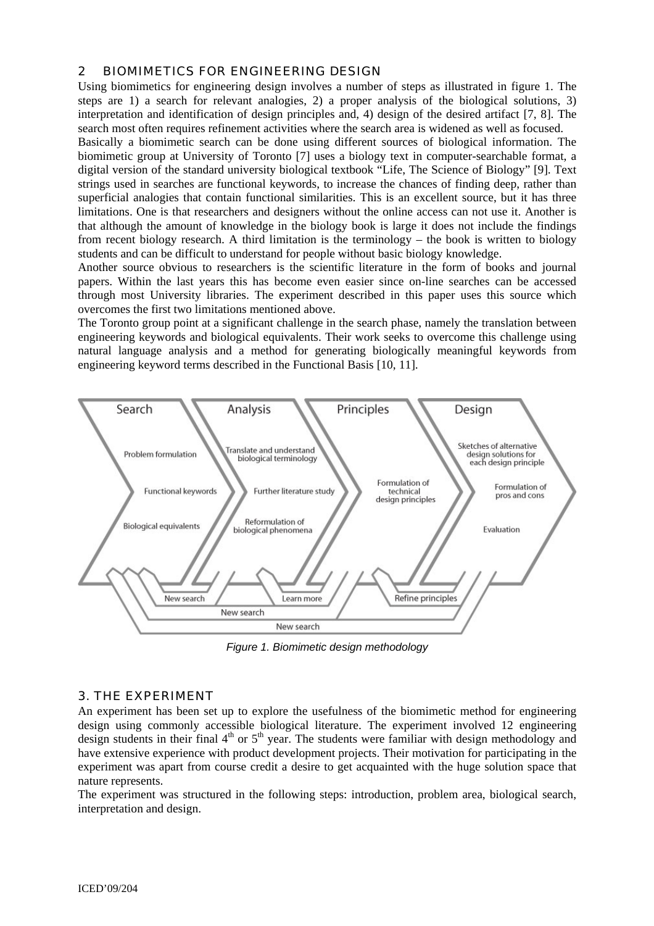## 2 BIOMIMETICS FOR ENGINEERING DESIGN

Using biomimetics for engineering design involves a number of steps as illustrated in figure 1. The steps are 1) a search for relevant analogies, 2) a proper analysis of the biological solutions, 3) interpretation and identification of design principles and, 4) design of the desired artifact [7, 8]. The search most often requires refinement activities where the search area is widened as well as focused.

Basically a biomimetic search can be done using different sources of biological information. The biomimetic group at University of Toronto [7] uses a biology text in computer-searchable format, a digital version of the standard university biological textbook "Life, The Science of Biology" [9]. Text strings used in searches are functional keywords, to increase the chances of finding deep, rather than superficial analogies that contain functional similarities. This is an excellent source, but it has three limitations. One is that researchers and designers without the online access can not use it. Another is that although the amount of knowledge in the biology book is large it does not include the findings from recent biology research. A third limitation is the terminology – the book is written to biology students and can be difficult to understand for people without basic biology knowledge.

Another source obvious to researchers is the scientific literature in the form of books and journal papers. Within the last years this has become even easier since on-line searches can be accessed through most University libraries. The experiment described in this paper uses this source which overcomes the first two limitations mentioned above.

The Toronto group point at a significant challenge in the search phase, namely the translation between engineering keywords and biological equivalents. Their work seeks to overcome this challenge using natural language analysis and a method for generating biologically meaningful keywords from engineering keyword terms described in the Functional Basis [10, 11].



*Figure 1. Biomimetic design methodology* 

## 3. THE EXPERIMENT

An experiment has been set up to explore the usefulness of the biomimetic method for engineering design using commonly accessible biological literature. The experiment involved 12 engineering design students in their final  $4<sup>th</sup>$  or  $5<sup>th</sup>$  year. The students were familiar with design methodology and have extensive experience with product development projects. Their motivation for participating in the experiment was apart from course credit a desire to get acquainted with the huge solution space that nature represents.

The experiment was structured in the following steps: introduction, problem area, biological search, interpretation and design.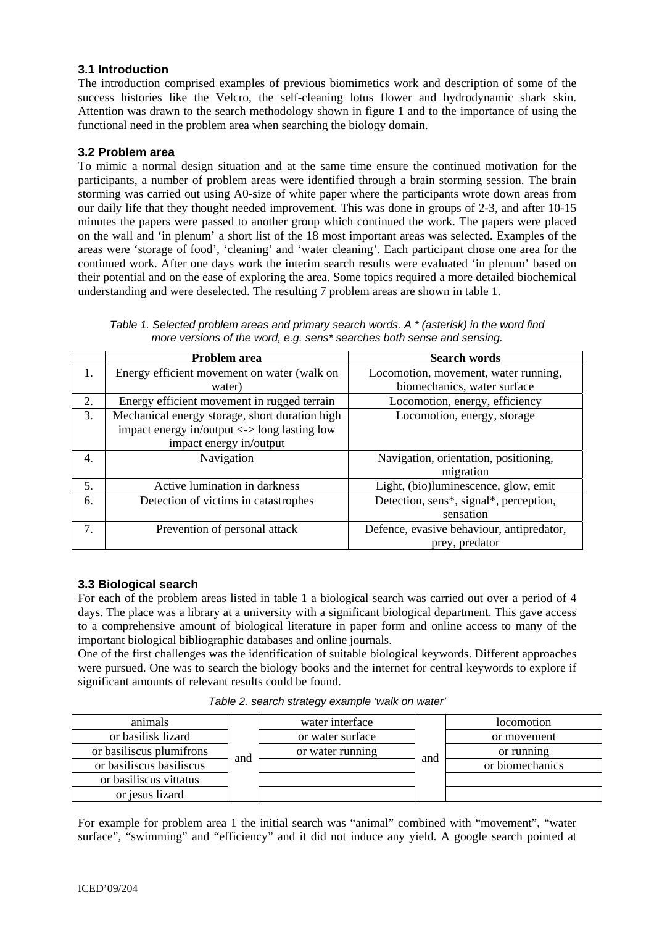## **3.1 Introduction**

The introduction comprised examples of previous biomimetics work and description of some of the success histories like the Velcro, the self-cleaning lotus flower and hydrodynamic shark skin. Attention was drawn to the search methodology shown in figure 1 and to the importance of using the functional need in the problem area when searching the biology domain.

### **3.2 Problem area**

To mimic a normal design situation and at the same time ensure the continued motivation for the participants, a number of problem areas were identified through a brain storming session. The brain storming was carried out using A0-size of white paper where the participants wrote down areas from our daily life that they thought needed improvement. This was done in groups of 2-3, and after 10-15 minutes the papers were passed to another group which continued the work. The papers were placed on the wall and 'in plenum' a short list of the 18 most important areas was selected. Examples of the areas were 'storage of food', 'cleaning' and 'water cleaning'. Each participant chose one area for the continued work. After one days work the interim search results were evaluated 'in plenum' based on their potential and on the ease of exploring the area. Some topics required a more detailed biochemical understanding and were deselected. The resulting 7 problem areas are shown in table 1.

*Table 1. Selected problem areas and primary search words. A \* (asterisk) in the word find more versions of the word, e.g. sens\* searches both sense and sensing.* 

|    | Problem area                                   | <b>Search words</b>                       |
|----|------------------------------------------------|-------------------------------------------|
| 1. | Energy efficient movement on water (walk on    | Locomotion, movement, water running,      |
|    | water)                                         | biomechanics, water surface               |
| 2. | Energy efficient movement in rugged terrain    | Locomotion, energy, efficiency            |
| 3. | Mechanical energy storage, short duration high | Locomotion, energy, storage               |
|    | impact energy in/output <-> long lasting low   |                                           |
|    | impact energy in/output                        |                                           |
| 4. | Navigation                                     | Navigation, orientation, positioning,     |
|    |                                                | migration                                 |
| 5. | Active lumination in darkness                  | Light, (bio)luminescence, glow, emit      |
| 6. | Detection of victims in catastrophes           | Detection, sens*, signal*, perception,    |
|    |                                                | sensation                                 |
| 7. | Prevention of personal attack                  | Defence, evasive behaviour, antipredator, |
|    |                                                | prey, predator                            |

## **3.3 Biological search**

For each of the problem areas listed in table 1 a biological search was carried out over a period of 4 days. The place was a library at a university with a significant biological department. This gave access to a comprehensive amount of biological literature in paper form and online access to many of the important biological bibliographic databases and online journals.

One of the first challenges was the identification of suitable biological keywords. Different approaches were pursued. One was to search the biology books and the internet for central keywords to explore if significant amounts of relevant results could be found.

| Table 2. search strategy example 'walk on water' |  |
|--------------------------------------------------|--|
|--------------------------------------------------|--|

| animals                  |     | water interface  |     | locomotion      |
|--------------------------|-----|------------------|-----|-----------------|
| or basilisk lizard       |     | or water surface |     | or movement     |
| or basiliscus plumifrons |     | or water running |     | or running      |
| or basiliscus basiliscus | and |                  | and | or biomechanics |
| or basiliscus vittatus   |     |                  |     |                 |
| or jesus lizard          |     |                  |     |                 |

For example for problem area 1 the initial search was "animal" combined with "movement", "water surface", "swimming" and "efficiency" and it did not induce any yield. A google search pointed at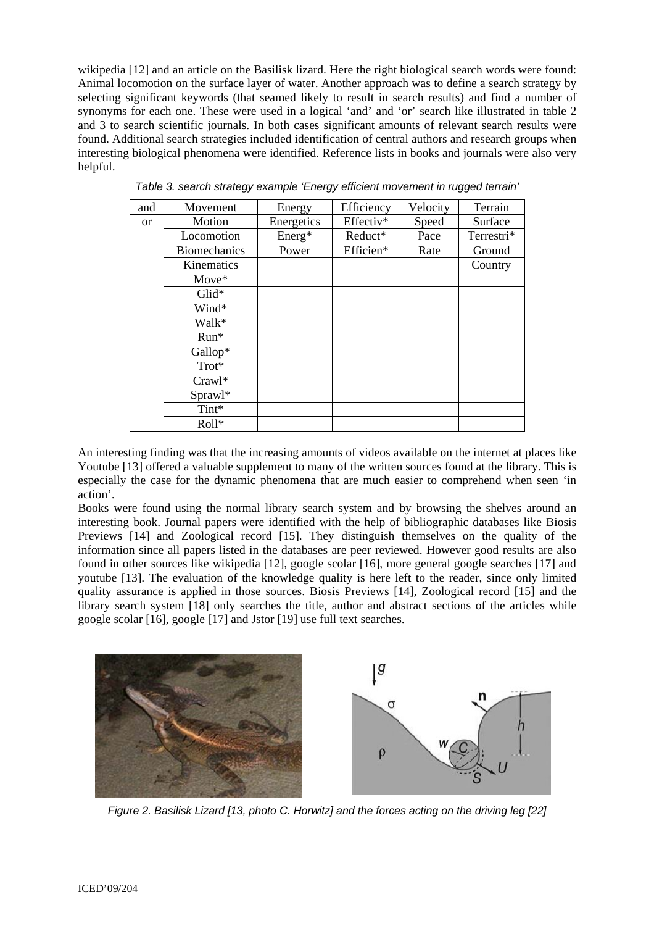wikipedia [12] and an article on the Basilisk lizard. Here the right biological search words were found: Animal locomotion on the surface layer of water. Another approach was to define a search strategy by selecting significant keywords (that seamed likely to result in search results) and find a number of synonyms for each one. These were used in a logical 'and' and 'or' search like illustrated in table 2 and 3 to search scientific journals. In both cases significant amounts of relevant search results were found. Additional search strategies included identification of central authors and research groups when interesting biological phenomena were identified. Reference lists in books and journals were also very helpful.

| and       | Movement            | Energy     | Efficiency | Velocity | Terrain    |
|-----------|---------------------|------------|------------|----------|------------|
| <b>or</b> | Motion              | Energetics | Effectiv*  | Speed    | Surface    |
|           | Locomotion          | Energ*     | Reduct*    | Pace     | Terrestri* |
|           | <b>Biomechanics</b> | Power      | Efficien*  | Rate     | Ground     |
|           | Kinematics          |            |            |          | Country    |
|           | Move*               |            |            |          |            |
|           | $Glid*$             |            |            |          |            |
|           | Wind*               |            |            |          |            |
|           | Walk*               |            |            |          |            |
|           | Run*                |            |            |          |            |
|           | Gallop*             |            |            |          |            |
|           | Trot*               |            |            |          |            |
|           | $Crawl*$            |            |            |          |            |
|           | Sprawl*             |            |            |          |            |
|           | Tint*               |            |            |          |            |
|           | Roll*               |            |            |          |            |

*Table 3. search strategy example 'Energy efficient movement in rugged terrain'* 

An interesting finding was that the increasing amounts of videos available on the internet at places like Youtube [13] offered a valuable supplement to many of the written sources found at the library. This is especially the case for the dynamic phenomena that are much easier to comprehend when seen 'in action'.

Books were found using the normal library search system and by browsing the shelves around an interesting book. Journal papers were identified with the help of bibliographic databases like Biosis Previews [14] and Zoological record [15]. They distinguish themselves on the quality of the information since all papers listed in the databases are peer reviewed. However good results are also found in other sources like wikipedia [12], google scolar [16], more general google searches [17] and youtube [13]. The evaluation of the knowledge quality is here left to the reader, since only limited quality assurance is applied in those sources. Biosis Previews [14], Zoological record [15] and the library search system [18] only searches the title, author and abstract sections of the articles while google scolar [16], google [17] and Jstor [19] use full text searches.



*Figure 2. Basilisk Lizard [13, photo C. Horwitz] and the forces acting on the driving leg [22]*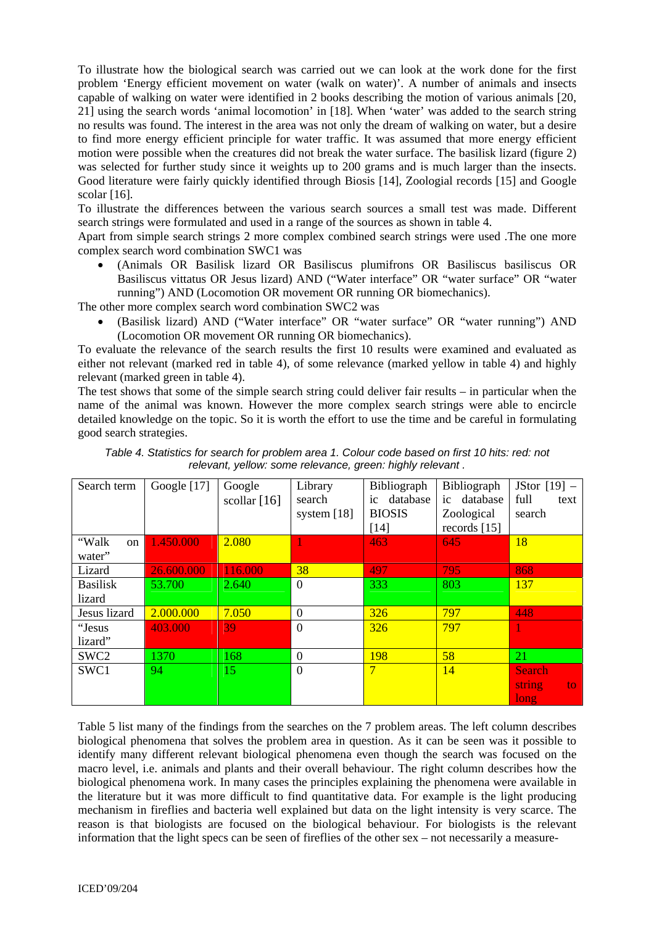To illustrate how the biological search was carried out we can look at the work done for the first problem 'Energy efficient movement on water (walk on water)'. A number of animals and insects capable of walking on water were identified in 2 books describing the motion of various animals [20, 21] using the search words 'animal locomotion' in [18]. When 'water' was added to the search string no results was found. The interest in the area was not only the dream of walking on water, but a desire to find more energy efficient principle for water traffic. It was assumed that more energy efficient motion were possible when the creatures did not break the water surface. The basilisk lizard (figure 2) was selected for further study since it weights up to 200 grams and is much larger than the insects. Good literature were fairly quickly identified through Biosis [14], Zoologial records [15] and Google scolar [16].

To illustrate the differences between the various search sources a small test was made. Different search strings were formulated and used in a range of the sources as shown in table 4.

Apart from simple search strings 2 more complex combined search strings were used .The one more complex search word combination SWC1 was

• (Animals OR Basilisk lizard OR Basiliscus plumifrons OR Basiliscus basiliscus OR Basiliscus vittatus OR Jesus lizard) AND ("Water interface" OR "water surface" OR "water running") AND (Locomotion OR movement OR running OR biomechanics).

The other more complex search word combination SWC2 was

• (Basilisk lizard) AND ("Water interface" OR "water surface" OR "water running") AND (Locomotion OR movement OR running OR biomechanics).

To evaluate the relevance of the search results the first 10 results were examined and evaluated as either not relevant (marked red in table 4), of some relevance (marked yellow in table 4) and highly relevant (marked green in table 4).

The test shows that some of the simple search string could deliver fair results – in particular when the name of the animal was known. However the more complex search strings were able to encircle detailed knowledge on the topic. So it is worth the effort to use the time and be careful in formulating good search strategies.

| Search term      | Google $[17]$ | Google         | Library        | Bibliograph    | <b>Bibliograph</b> | JStor $[19]$ – |
|------------------|---------------|----------------|----------------|----------------|--------------------|----------------|
|                  |               | scollar $[16]$ | search         | database<br>ic | database<br>ic     | full<br>text   |
|                  |               |                | system $[18]$  | <b>BIOSIS</b>  | Zoological         | search         |
|                  |               |                |                | [14]           | records $[15]$     |                |
| "Walk<br>on      | 1.450.000     | 2.080          |                | 463            | 645                | 18             |
| water"           |               |                |                |                |                    |                |
| Lizard           | 26.600.000    | 116.000        | 38             | 497            | 795                | 868            |
| <b>Basilisk</b>  | 53.700        | 2.640          | $\theta$       | 333            | 803                | 137            |
| lizard           |               |                |                |                |                    |                |
| Jesus lizard     | 2.000.000     | 7.050          | $\theta$       | 326            | 797                | 448            |
| "Jesus           | 403.000       | 39             | $\overline{0}$ | 326            | 797                |                |
| lizard"          |               |                |                |                |                    |                |
| SWC <sub>2</sub> | 1370          | 168            | $\theta$       | 198            | 58                 | 21             |
| SWC1             | 94            | 15             | $\overline{0}$ | 7              | 14                 | <b>Search</b>  |
|                  |               |                |                |                |                    | string<br>to   |
|                  |               |                |                |                |                    | long           |

*Table 4. Statistics for search for problem area 1. Colour code based on first 10 hits: red: not relevant, yellow: some relevance, green: highly relevant .* 

Table 5 list many of the findings from the searches on the 7 problem areas. The left column describes biological phenomena that solves the problem area in question. As it can be seen was it possible to identify many different relevant biological phenomena even though the search was focused on the macro level, i.e. animals and plants and their overall behaviour. The right column describes how the biological phenomena work. In many cases the principles explaining the phenomena were available in the literature but it was more difficult to find quantitative data. For example is the light producing mechanism in fireflies and bacteria well explained but data on the light intensity is very scarce. The reason is that biologists are focused on the biological behaviour. For biologists is the relevant information that the light specs can be seen of fireflies of the other sex – not necessarily a measure-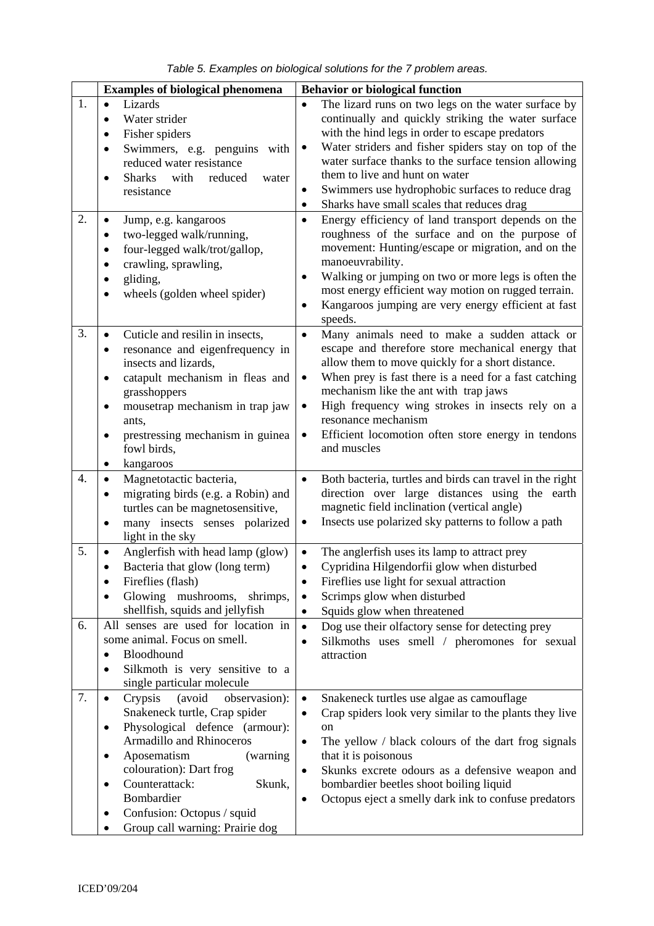|  |  |  |  |  |  | Table 5. Examples on biological solutions for the 7 problem areas. |
|--|--|--|--|--|--|--------------------------------------------------------------------|
|--|--|--|--|--|--|--------------------------------------------------------------------|

|                  | <b>Examples of biological phenomena</b>                                                                                                                                                                                                                                                                                                                                       | <b>Behavior or biological function</b>                                                                                                                                                                                                                                                                                                                                                                                                                                                                                                                                                                                                                                                                                                                                                                                                                       |
|------------------|-------------------------------------------------------------------------------------------------------------------------------------------------------------------------------------------------------------------------------------------------------------------------------------------------------------------------------------------------------------------------------|--------------------------------------------------------------------------------------------------------------------------------------------------------------------------------------------------------------------------------------------------------------------------------------------------------------------------------------------------------------------------------------------------------------------------------------------------------------------------------------------------------------------------------------------------------------------------------------------------------------------------------------------------------------------------------------------------------------------------------------------------------------------------------------------------------------------------------------------------------------|
| 1.<br>2.         | Lizards<br>$\bullet$<br>Water strider<br>$\bullet$<br>Fisher spiders<br>٠<br>Swimmers, e.g. penguins with<br>٠<br>reduced water resistance<br><b>Sharks</b><br>reduced<br>with<br>water<br>6<br>resistance<br>Jump, e.g. kangaroos<br>٠<br>two-legged walk/running,<br>٠<br>four-legged walk/trot/gallop,<br>crawling, sprawling,<br>gliding,<br>wheels (golden wheel spider) | The lizard runs on two legs on the water surface by<br>$\bullet$<br>continually and quickly striking the water surface<br>with the hind legs in order to escape predators<br>Water striders and fisher spiders stay on top of the<br>$\bullet$<br>water surface thanks to the surface tension allowing<br>them to live and hunt on water<br>Swimmers use hydrophobic surfaces to reduce drag<br>٠<br>Sharks have small scales that reduces drag<br>$\bullet$<br>Energy efficiency of land transport depends on the<br>$\bullet$<br>roughness of the surface and on the purpose of<br>movement: Hunting/escape or migration, and on the<br>manoeuvrability.<br>Walking or jumping on two or more legs is often the<br>$\bullet$<br>most energy efficient way motion on rugged terrain.<br>Kangaroos jumping are very energy efficient at fast<br>٠<br>speeds. |
| 3.               | Cuticle and resilin in insects,<br>$\bullet$<br>resonance and eigenfrequency in<br>insects and lizards,<br>catapult mechanism in fleas and<br>grasshoppers<br>mousetrap mechanism in trap jaw<br>٠<br>ants,<br>prestressing mechanism in guinea<br>fowl birds,<br>kangaroos<br>$\bullet$                                                                                      | Many animals need to make a sudden attack or<br>$\bullet$<br>escape and therefore store mechanical energy that<br>allow them to move quickly for a short distance.<br>When prey is fast there is a need for a fast catching<br>$\bullet$<br>mechanism like the ant with trap jaws<br>High frequency wing strokes in insects rely on a<br>$\bullet$<br>resonance mechanism<br>Efficient locomotion often store energy in tendons<br>$\bullet$<br>and muscles                                                                                                                                                                                                                                                                                                                                                                                                  |
| $\overline{4}$ . | Magnetotactic bacteria,<br>$\bullet$<br>migrating birds (e.g. a Robin) and<br>turtles can be magnetosensitive,<br>many insects senses polarized<br>٠<br>light in the sky                                                                                                                                                                                                      | Both bacteria, turtles and birds can travel in the right<br>$\bullet$<br>direction over large distances using the earth<br>magnetic field inclination (vertical angle)<br>Insects use polarized sky patterns to follow a path<br>$\bullet$                                                                                                                                                                                                                                                                                                                                                                                                                                                                                                                                                                                                                   |
| 5.<br>6.         | Anglerfish with head lamp (glow)<br>Bacteria that glow (long term)<br>Fireflies (flash)<br>Glowing mushrooms,<br>shrimps,<br>shellfish, squids and jellyfish<br>All senses are used for location in<br>some animal. Focus on smell.<br>Bloodhound<br>Silkmoth is very sensitive to a                                                                                          | The anglerfish uses its lamp to attract prey<br>$\bullet$<br>Cypridina Hilgendorfii glow when disturbed<br>Fireflies use light for sexual attraction<br>$\bullet$<br>Scrimps glow when disturbed<br>$\bullet$<br>Squids glow when threatened<br>$\bullet$<br>Dog use their olfactory sense for detecting prey<br>$\bullet$<br>Silkmoths uses smell / pheromones for sexual<br>$\bullet$<br>attraction                                                                                                                                                                                                                                                                                                                                                                                                                                                        |
| 7.               | single particular molecule<br>Crypsis<br>(avoid<br>observasion):<br>$\bullet$<br>Snakeneck turtle, Crap spider<br>Physological defence (armour):<br><b>Armadillo and Rhinoceros</b><br>Aposematism<br>(warning)<br>٠<br>colouration): Dart frog<br>Counterattack:<br>Skunk,<br>٠<br>Bombardier<br>Confusion: Octopus / squid<br>٠<br>Group call warning: Prairie dog          | Snakeneck turtles use algae as camouflage<br>$\bullet$<br>Crap spiders look very similar to the plants they live<br>$\bullet$<br>on<br>The yellow / black colours of the dart frog signals<br>$\bullet$<br>that it is poisonous<br>Skunks excrete odours as a defensive weapon and<br>٠<br>bombardier beetles shoot boiling liquid<br>Octopus eject a smelly dark ink to confuse predators<br>$\bullet$                                                                                                                                                                                                                                                                                                                                                                                                                                                      |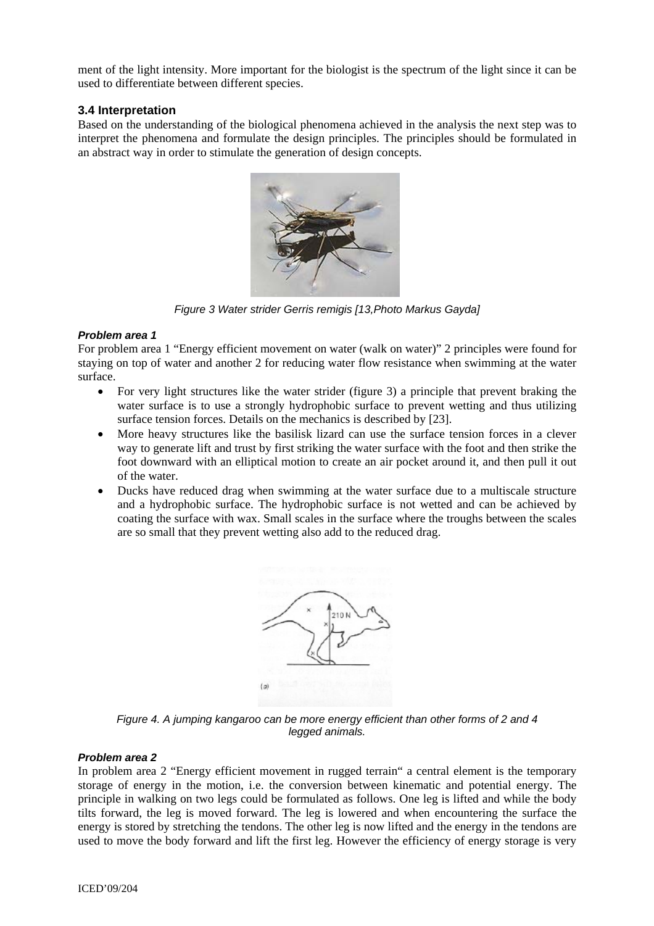ment of the light intensity. More important for the biologist is the spectrum of the light since it can be used to differentiate between different species.

## **3.4 Interpretation**

Based on the understanding of the biological phenomena achieved in the analysis the next step was to interpret the phenomena and formulate the design principles. The principles should be formulated in an abstract way in order to stimulate the generation of design concepts.



*Figure 3 Water strider Gerris remigis [13,Photo Markus Gayda]* 

## *Problem area 1*

For problem area 1 "Energy efficient movement on water (walk on water)" 2 principles were found for staying on top of water and another 2 for reducing water flow resistance when swimming at the water surface.

- For very light structures like the water strider (figure 3) a principle that prevent braking the water surface is to use a strongly hydrophobic surface to prevent wetting and thus utilizing surface tension forces. Details on the mechanics is described by [23].
- More heavy structures like the basilisk lizard can use the surface tension forces in a clever way to generate lift and trust by first striking the water surface with the foot and then strike the foot downward with an elliptical motion to create an air pocket around it, and then pull it out of the water.
- Ducks have reduced drag when swimming at the water surface due to a multiscale structure and a hydrophobic surface. The hydrophobic surface is not wetted and can be achieved by coating the surface with wax. Small scales in the surface where the troughs between the scales are so small that they prevent wetting also add to the reduced drag.



*Figure 4. A jumping kangaroo can be more energy efficient than other forms of 2 and 4 legged animals.* 

#### *Problem area 2*

In problem area 2 "Energy efficient movement in rugged terrain" a central element is the temporary storage of energy in the motion, i.e. the conversion between kinematic and potential energy. The principle in walking on two legs could be formulated as follows. One leg is lifted and while the body tilts forward, the leg is moved forward. The leg is lowered and when encountering the surface the energy is stored by stretching the tendons. The other leg is now lifted and the energy in the tendons are used to move the body forward and lift the first leg. However the efficiency of energy storage is very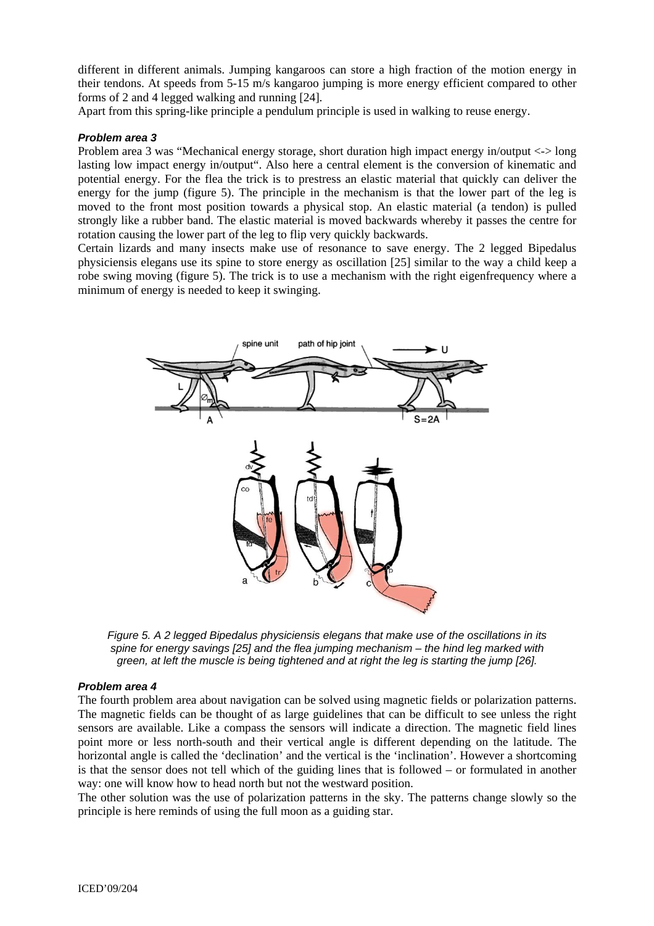different in different animals. Jumping kangaroos can store a high fraction of the motion energy in their tendons. At speeds from 5-15 m/s kangaroo jumping is more energy efficient compared to other forms of 2 and 4 legged walking and running [24].

Apart from this spring-like principle a pendulum principle is used in walking to reuse energy.

#### *Problem area 3*

Problem area 3 was "Mechanical energy storage, short duration high impact energy in/output <-> long lasting low impact energy in/output". Also here a central element is the conversion of kinematic and potential energy. For the flea the trick is to prestress an elastic material that quickly can deliver the energy for the jump (figure 5). The principle in the mechanism is that the lower part of the leg is moved to the front most position towards a physical stop. An elastic material (a tendon) is pulled strongly like a rubber band. The elastic material is moved backwards whereby it passes the centre for rotation causing the lower part of the leg to flip very quickly backwards.

Certain lizards and many insects make use of resonance to save energy. The 2 legged Bipedalus physiciensis elegans use its spine to store energy as oscillation [25] similar to the way a child keep a robe swing moving (figure 5). The trick is to use a mechanism with the right eigenfrequency where a minimum of energy is needed to keep it swinging.



*Figure 5. A 2 legged Bipedalus physiciensis elegans that make use of the oscillations in its spine for energy savings [25] and the flea jumping mechanism – the hind leg marked with green, at left the muscle is being tightened and at right the leg is starting the jump [26].* 

#### *Problem area 4*

The fourth problem area about navigation can be solved using magnetic fields or polarization patterns. The magnetic fields can be thought of as large guidelines that can be difficult to see unless the right sensors are available. Like a compass the sensors will indicate a direction. The magnetic field lines point more or less north-south and their vertical angle is different depending on the latitude. The horizontal angle is called the 'declination' and the vertical is the 'inclination'. However a shortcoming is that the sensor does not tell which of the guiding lines that is followed – or formulated in another way: one will know how to head north but not the westward position.

The other solution was the use of polarization patterns in the sky. The patterns change slowly so the principle is here reminds of using the full moon as a guiding star.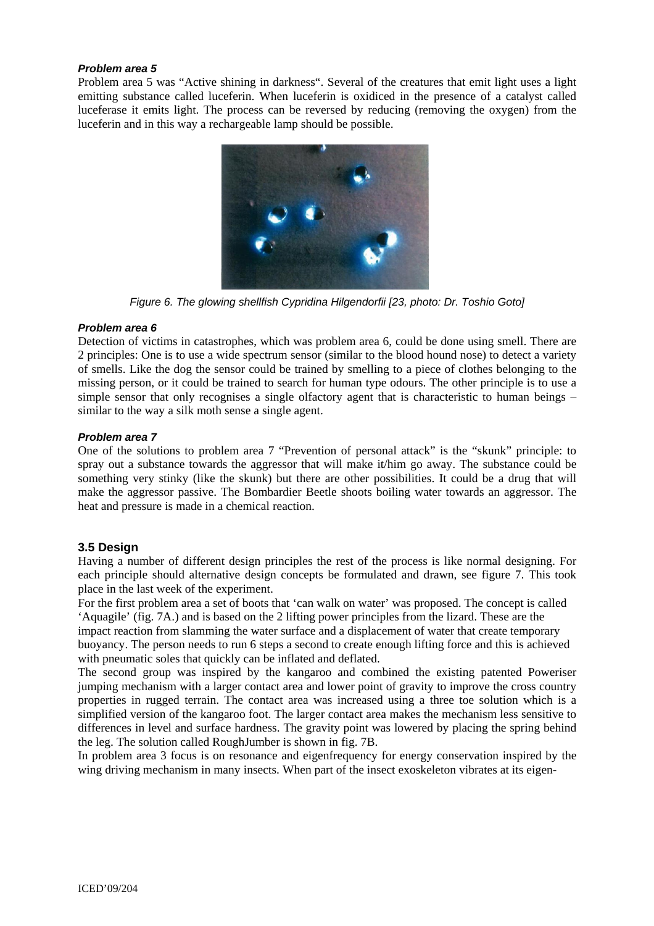#### *Problem area 5*

Problem area 5 was "Active shining in darkness". Several of the creatures that emit light uses a light emitting substance called luceferin. When luceferin is oxidiced in the presence of a catalyst called luceferase it emits light. The process can be reversed by reducing (removing the oxygen) from the luceferin and in this way a rechargeable lamp should be possible.



*Figure 6. The glowing shellfish Cypridina Hilgendorfii [23, photo: Dr. Toshio Goto]* 

#### *Problem area 6*

Detection of victims in catastrophes, which was problem area 6, could be done using smell. There are 2 principles: One is to use a wide spectrum sensor (similar to the blood hound nose) to detect a variety of smells. Like the dog the sensor could be trained by smelling to a piece of clothes belonging to the missing person, or it could be trained to search for human type odours. The other principle is to use a simple sensor that only recognises a single olfactory agent that is characteristic to human beings – similar to the way a silk moth sense a single agent.

#### *Problem area 7*

One of the solutions to problem area 7 "Prevention of personal attack" is the "skunk" principle: to spray out a substance towards the aggressor that will make it/him go away. The substance could be something very stinky (like the skunk) but there are other possibilities. It could be a drug that will make the aggressor passive. The Bombardier Beetle shoots boiling water towards an aggressor. The heat and pressure is made in a chemical reaction.

## **3.5 Design**

Having a number of different design principles the rest of the process is like normal designing. For each principle should alternative design concepts be formulated and drawn, see figure 7. This took place in the last week of the experiment.

For the first problem area a set of boots that 'can walk on water' was proposed. The concept is called 'Aquagile' (fig. 7A.) and is based on the 2 lifting power principles from the lizard. These are the impact reaction from slamming the water surface and a displacement of water that create temporary buoyancy. The person needs to run 6 steps a second to create enough lifting force and this is achieved with pneumatic soles that quickly can be inflated and deflated.

The second group was inspired by the kangaroo and combined the existing patented Poweriser jumping mechanism with a larger contact area and lower point of gravity to improve the cross country properties in rugged terrain. The contact area was increased using a three toe solution which is a simplified version of the kangaroo foot. The larger contact area makes the mechanism less sensitive to differences in level and surface hardness. The gravity point was lowered by placing the spring behind the leg. The solution called RoughJumber is shown in fig. 7B.

In problem area 3 focus is on resonance and eigenfrequency for energy conservation inspired by the wing driving mechanism in many insects. When part of the insect exoskeleton vibrates at its eigen-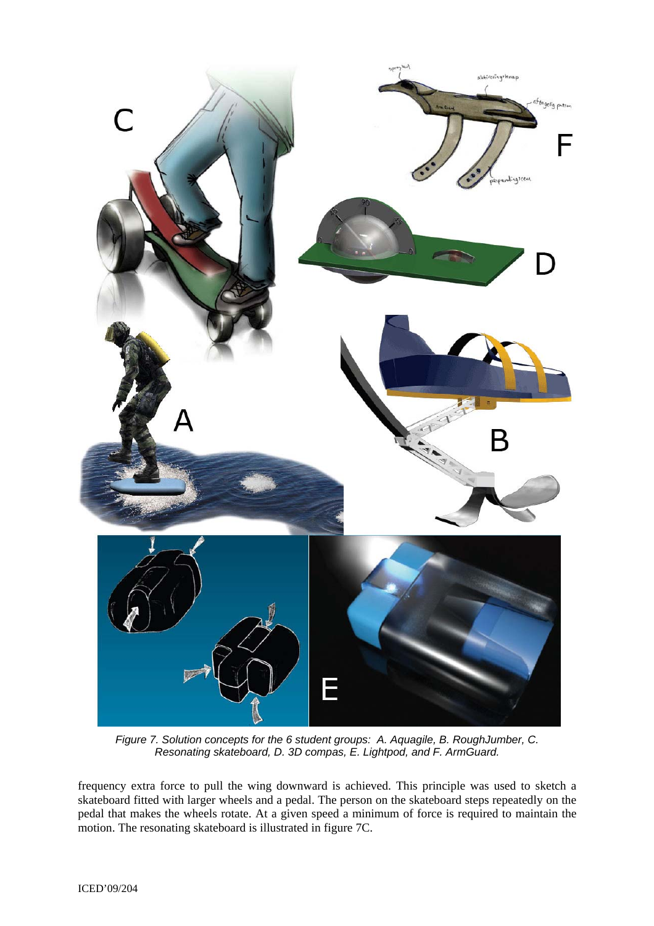

*Figure 7. Solution concepts for the 6 student groups: A. Aquagile, B. RoughJumber, C. Resonating skateboard, D. 3D compas, E. Lightpod, and F. ArmGuard.* 

frequency extra force to pull the wing downward is achieved. This principle was used to sketch a skateboard fitted with larger wheels and a pedal. The person on the skateboard steps repeatedly on the pedal that makes the wheels rotate. At a given speed a minimum of force is required to maintain the motion. The resonating skateboard is illustrated in figure 7C.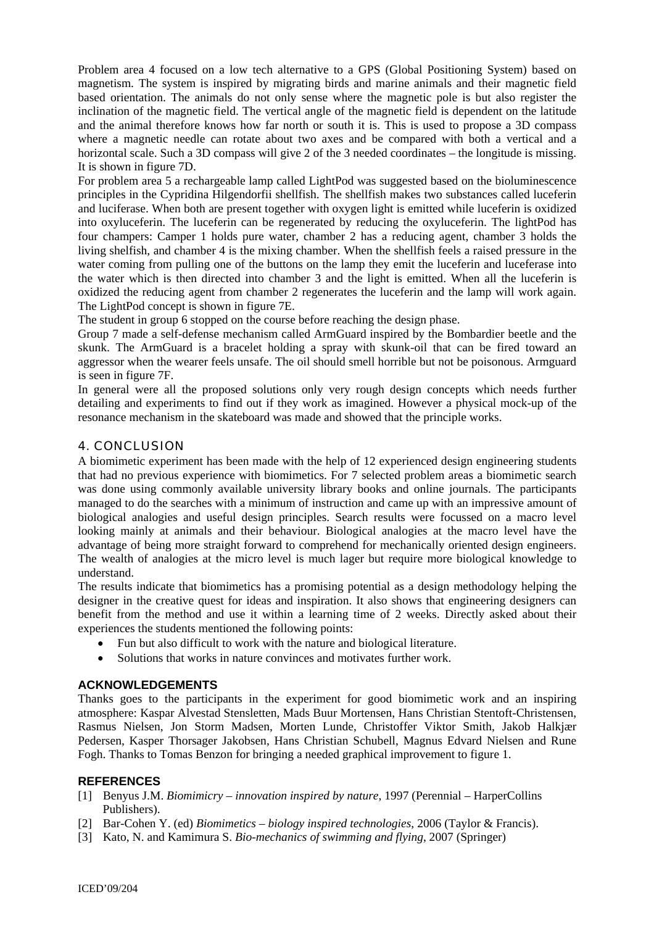Problem area 4 focused on a low tech alternative to a GPS (Global Positioning System) based on magnetism. The system is inspired by migrating birds and marine animals and their magnetic field based orientation. The animals do not only sense where the magnetic pole is but also register the inclination of the magnetic field. The vertical angle of the magnetic field is dependent on the latitude and the animal therefore knows how far north or south it is. This is used to propose a 3D compass where a magnetic needle can rotate about two axes and be compared with both a vertical and a horizontal scale. Such a 3D compass will give 2 of the 3 needed coordinates – the longitude is missing. It is shown in figure 7D.

For problem area 5 a rechargeable lamp called LightPod was suggested based on the bioluminescence principles in the Cypridina Hilgendorfii shellfish. The shellfish makes two substances called luceferin and luciferase. When both are present together with oxygen light is emitted while luceferin is oxidized into oxyluceferin. The luceferin can be regenerated by reducing the oxyluceferin. The lightPod has four champers: Camper 1 holds pure water, chamber 2 has a reducing agent, chamber 3 holds the living shelfish, and chamber 4 is the mixing chamber. When the shellfish feels a raised pressure in the water coming from pulling one of the buttons on the lamp they emit the luceferin and luceferase into the water which is then directed into chamber 3 and the light is emitted. When all the luceferin is oxidized the reducing agent from chamber 2 regenerates the luceferin and the lamp will work again. The LightPod concept is shown in figure 7E.

The student in group 6 stopped on the course before reaching the design phase.

Group 7 made a self-defense mechanism called ArmGuard inspired by the Bombardier beetle and the skunk. The ArmGuard is a bracelet holding a spray with skunk-oil that can be fired toward an aggressor when the wearer feels unsafe. The oil should smell horrible but not be poisonous. Armguard is seen in figure 7F.

In general were all the proposed solutions only very rough design concepts which needs further detailing and experiments to find out if they work as imagined. However a physical mock-up of the resonance mechanism in the skateboard was made and showed that the principle works.

## 4. CONCLUSION

A biomimetic experiment has been made with the help of 12 experienced design engineering students that had no previous experience with biomimetics. For 7 selected problem areas a biomimetic search was done using commonly available university library books and online journals. The participants managed to do the searches with a minimum of instruction and came up with an impressive amount of biological analogies and useful design principles. Search results were focussed on a macro level looking mainly at animals and their behaviour. Biological analogies at the macro level have the advantage of being more straight forward to comprehend for mechanically oriented design engineers. The wealth of analogies at the micro level is much lager but require more biological knowledge to understand.

The results indicate that biomimetics has a promising potential as a design methodology helping the designer in the creative quest for ideas and inspiration. It also shows that engineering designers can benefit from the method and use it within a learning time of 2 weeks. Directly asked about their experiences the students mentioned the following points:

- Fun but also difficult to work with the nature and biological literature.
- Solutions that works in nature convinces and motivates further work.

#### **ACKNOWLEDGEMENTS**

Thanks goes to the participants in the experiment for good biomimetic work and an inspiring atmosphere: Kaspar Alvestad Stensletten, Mads Buur Mortensen, Hans Christian Stentoft-Christensen, Rasmus Nielsen, Jon Storm Madsen, Morten Lunde, Christoffer Viktor Smith, Jakob Halkjær Pedersen, Kasper Thorsager Jakobsen, Hans Christian Schubell, Magnus Edvard Nielsen and Rune Fogh. Thanks to Tomas Benzon for bringing a needed graphical improvement to figure 1.

#### **REFERENCES**

- [1] Benyus J.M. *Biomimicry innovation inspired by nature*, 1997 (Perennial HarperCollins Publishers).
- [2] Bar-Cohen Y. (ed) *Biomimetics biology inspired technologies*, 2006 (Taylor & Francis).
- [3] Kato, N. and Kamimura S. *Bio-mechanics of swimming and flying*, 2007 (Springer)